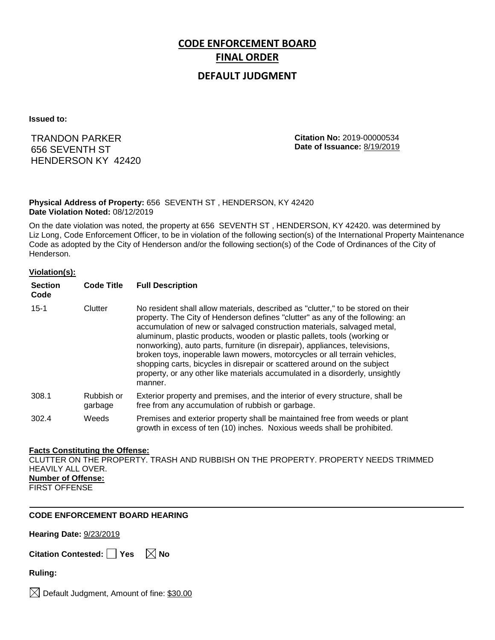# **CODE ENFORCEMENT BOARD FINAL ORDER**

## **DEFAULT JUDGMENT**

**Issued to:**

## TRANDON PARKER 656 SEVENTH ST HENDERSON KY 42420

**Citation No:** 2019-00000534 **Date of Issuance:** 8/19/2019

#### **Physical Address of Property:** 656 SEVENTH ST , HENDERSON, KY 42420 **Date Violation Noted:** 08/12/2019

On the date violation was noted, the property at 656 SEVENTH ST , HENDERSON, KY 42420. was determined by Liz Long, Code Enforcement Officer, to be in violation of the following section(s) of the International Property Maintenance Code as adopted by the City of Henderson and/or the following section(s) of the Code of Ordinances of the City of Henderson.

#### **Violation(s):**

| <b>Section</b><br>Code | <b>Code Title</b>     | <b>Full Description</b>                                                                                                                                                                                                                                                                                                                                                                                                                                                                                                                                                                                                                                     |
|------------------------|-----------------------|-------------------------------------------------------------------------------------------------------------------------------------------------------------------------------------------------------------------------------------------------------------------------------------------------------------------------------------------------------------------------------------------------------------------------------------------------------------------------------------------------------------------------------------------------------------------------------------------------------------------------------------------------------------|
| $15 - 1$               | Clutter               | No resident shall allow materials, described as "clutter," to be stored on their<br>property. The City of Henderson defines "clutter" as any of the following: an<br>accumulation of new or salvaged construction materials, salvaged metal,<br>aluminum, plastic products, wooden or plastic pallets, tools (working or<br>nonworking), auto parts, furniture (in disrepair), appliances, televisions,<br>broken toys, inoperable lawn mowers, motorcycles or all terrain vehicles,<br>shopping carts, bicycles in disrepair or scattered around on the subject<br>property, or any other like materials accumulated in a disorderly, unsightly<br>manner. |
| 308.1                  | Rubbish or<br>garbage | Exterior property and premises, and the interior of every structure, shall be<br>free from any accumulation of rubbish or garbage.                                                                                                                                                                                                                                                                                                                                                                                                                                                                                                                          |
| 302.4                  | Weeds                 | Premises and exterior property shall be maintained free from weeds or plant<br>growth in excess of ten (10) inches. Noxious weeds shall be prohibited.                                                                                                                                                                                                                                                                                                                                                                                                                                                                                                      |

#### **Facts Constituting the Offense:**

CLUTTER ON THE PROPERTY. TRASH AND RUBBISH ON THE PROPERTY. PROPERTY NEEDS TRIMMED HEAVILY ALL OVER. **Number of Offense:** FIRST OFFENSE

### **CODE ENFORCEMENT BOARD HEARING**

**Hearing Date:** 9/23/2019

**Citation Contested:** ■ Yes  $\ \ \mathbb{\times}$  No

**Ruling:**

 $\bowtie$  Default Judgment, Amount of fine: \$30.00